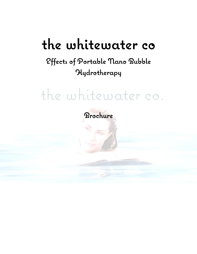# the whitewater co

# **Effects of Portable Nano Bubble** Hydrotherapy

# the whitewater co.

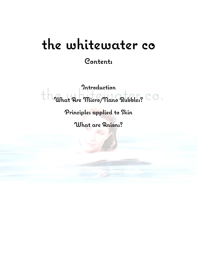# the whitewater co

Contents

**Introduction** What Are Micro/Nano Bubbles?

Principles applied to Skin

What are Anions?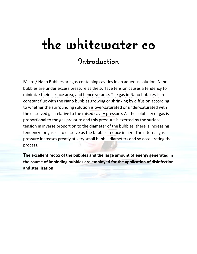# the whitewater co **Introduction**

Micro / Nano Bubbles are gas-containing cavities in an aqueous solution. Nano bubbles are under excess pressure as the surface tension causes a tendency to minimize their surface area, and hence volume. The gas in Nano bubbles is in constant flux with the Nano bubbles growing or shrinking by diffusion according to whether the surrounding solution is over-saturated or under-saturated with the dissolved gas relative to the raised cavity pressure. As the solubility of gas is proportional to the gas pressure and this pressure is exerted by the surface tension in inverse proportion to the diameter of the bubbles, there is increasing tendency for gasses to dissolve as the bubbles reduce in size. The internal gas pressure increases greatly at very small bubble diameters and so accelerating the process.

**The excellent redox of the bubbles and the large amount of energy generated in the course of imploding bubbles are employed for the application of disinfection and sterilization.**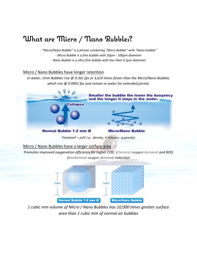# What are Micro / Nano Bubbles?

*- "Micro/Nano Bubble" is a phrase combining "Micro Bubble" with "Nano bubble" - Micro Bubble is a fine bubble with 10μm - 100μm diameter - Nano Bubble is a ultra fine bubble with less than 0.2μm diameter*

## Micro / Nano Bubbles have longer retention

*In water, 1mm Bubbles rise @ 0.361 fps or 3,610 times faster than the Micro/Nano Bubbles which rise @ 0.0001 fps and remain in water for extended period.*



Micro / Nano Bubbles have a larger surface area

*Promotes improved oxygenation efficiency for higher COD* (*chemical oxygen demand*) and *BOD (biochemical* **oxygen** *demand) reduction*



*1 cubic mm volume of Micro / Nano Bubbles has 10,000 times greater surface area than 1 cubic mm of normal air bubbles*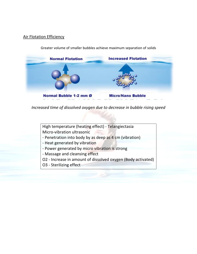## Air Flotation Efficiency

#### Greater volume of smaller bubbles achieve maximum separation of solids



*Increased time of dissolved oxygen due to decrease in bubble rising speed*

High temperature (heating effect) - Telangiectasia Micro-vibration ultrasonic

- Penetration into body by as deep as 4 cm (vibration)
- Heat generated by vibration
- Power generated by micro vibration is strong
- Massage and cleansing effect
- O2 Increase in amount of dissolved oxygen (Body activated)
- O3 Sterilizing effect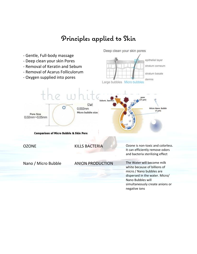# Principles applied to Skin

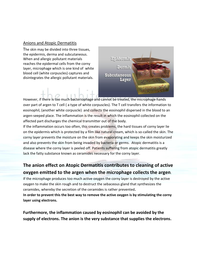### Anions and Atopic Dermatitis

The skin may be divided into three tissues, the epidermis, derma and subcutaneous. When and allergic pollutant materials reaches the epidermal cells from the corny layer, microphage which is one kind of white blood cell (white corpuscles) captures and disintegrates the allergic pollutant materials.

**Epidermis** Dennis Subcutaneous Layer

However, if there is too much bacteriophage and cannot be treated, the microphage hands over part of argen to T cell ( a type of white corpuscles). The T cell transfers the information to eosinophil, (another white corpuscle) and collects the eosinophil dispersed in the blood to an argen-seeped place. The inflammation is the result in which the eosinophil collected on the affected part discharges the chemical transmitter out of the body.

If the inflammation occurs too often, this creates problems, the hard tissues of corny layer lie on the epidermis which is protected by a film like natural cream, which is so-called the skin. The corny layer prevents the moisture on the skin from evaporating and keeps the skin moisturized and also prevents the skin from being invaded by bacteria or germs. Atopic dermatitis is a disease where the corny layer is peeled off. Patients suffering from atopic dermatitis greatly lack the fatty substance known as ceramides necessary for the corny layer.

# **The anion effect on Atopic Dermatitis contributes to cleaning of active oxygen emitted to the argen when the microphage collects the argen**.

If the microphage produces too much active oxygen the corny layer is destroyed by the active oxygen to make the skin rough and to destruct the sebaceous gland that synthesizes the ceramides, whereby the secretion of the ceramides is rather prevented**.** 

**In order to prevent this the best way to remove the active oxygen is by stimulating the corny layer using electrons.**

**Furthermore, the inflammation caused by eosinophil can be avoided by the supply of electrons. The anion is the very substance that supplies the electrons.**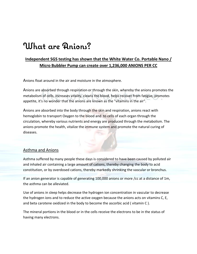# What are Anions?

# **Independent SGS testing has shown that the White Water Co. Portable Nano / Micro Bubbler Pump can create over 1,236,000 ANIONS PER CC**

Anions float around in the air and moisture in the atmosphere.

Anions are absorbed through respiration or through the skin, whereby the anions promotes the metabolism of cells, increases vitality, cleans the blood, helps recover from fatigue, promotes appetite, it's no wonder that the anions are known as the "vitamins in the air".

Anions are absorbed into the body through the skin and respiration, anions react with hemoglobin to transport Oxygen to the blood and to cells of each organ through the circulation, whereby various nutrients and energy are produced through the metabolism. The anions promote the health, vitalize the immune system and promote the natural curing of diseases.

#### Asthma and Anions

Asthma suffered by many people these days is considered to have been caused by polluted air and inhaled air containing a large amount of cations, thereby changing the body to acid constitution, or by overdosed cations, thereby markedly shrinking the vascular or bronchus.

If an anion generator is capable of generating 100,000 anions or more /cc at a distance of 1m, the asthma can be alleviated.

Use of anions in sleep helps decrease the hydrogen ion concentration in vascular to decrease the hydrogen ions and to reduce the active oxygen because the anions acts on vitamins C, E, and beta carotene oxidized in the body to become the ascorbic acid ( vitamin C ).

The mineral portions in the blood or in the cells receive the electrons to be in the status of having many electrons.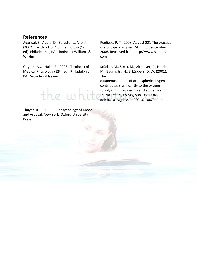### **References**

Agarwal, S., Apple, D., Buratto, L., Alio, J. (2002). Textbook of Ophthalmology (1st ed). Philadelphia, PA: Lippincott Williams & Wilkins

Guyton, A.C., Hall, J.E. (2006). Textbook of Medical Physiology (12th ed). Philadelphia, PA : Saunders/Elsevier

the wh

Thayer, R. E. (1989). Biopsychology of Mood and Arousal. New York: Oxford University Press.

Pugliese, P. T. (2008, August 22). The practical use of topical oxygen. Skin Inc. September 2008. Retrieved from http://www.skininc. com

Stücker, M., Struk, M., Altmeyer, P., Herde, M., Baumgärtl H., & Lübbers, D. W. (2001). The

cutaneous uptake of atmospheric oxygen contributes significantly to the oxygen supply of human dermis and epidermis. Journal of Physiology, 538, 985-994. doi:10.1013/jphysiol.2001.013067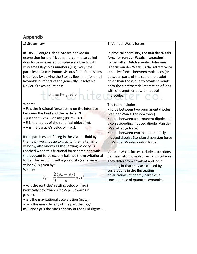## **Appendix**

### **1)** Stokes' law

In 1851, George Gabriel Stokes derived an expression for the frictional force — also called drag force — exerted on spherical objects with very small Reynolds numbers (e.g., very small particles) in a continuous viscous fluid. Stokes' law is derived by solving the Stokes flow limit for small Reynolds numbers of the generally unsolvable Navier–Stokes equations:

 $F_d = 6\pi \mu R V$ 

#### Where:

 $\bullet$  F<sub>d</sub> is the frictional force acting on the interface between the fluid and the particle (N),

- $\mu$  is the fluid's viscosity ( [kg m-1 s-1]),
- R is the radius of the spherical object (m),
- V is the particle's velocity (m/s).

If the particles are falling in the viscous fluid by their own weight due to gravity, then a terminal velocity, also known as the settling velocity, is reached when this frictional force combined with the buoyant force exactly balance the gravitational force. The resulting settling velocity (or terminal velocity) is given by: Where:

$$
V_s = \frac{2}{9} \frac{(\rho_p - \rho_f)}{\mu} g R^2
$$

• Vs is the particles' settling velocity (m/s) (vertically downwards if  $p_P$  >  $p_f$ , upwards if  $\rho_{\rm p}$  <  $\rho_{\rm f}$  ),

- g is the gravitational acceleration ( $m/s<sub>2</sub>$ ),
- $\rho_p$  is the mass density of the particles (kg/

m<sub>3</sub>), and• pf is the mass density of the fluid (kg/m<sub>3</sub>).

### **2)** Van der Waals forces

In physical chemistry, the **van der Waals force** (or **van der Waals interaction**), named after Dutch scientist Johannes Diderik van der Waals, is the attractive or repulsive forces between molecules (or between parts of the same molecule) other than those due to covalent bonds or to the electrostatic interaction of ions with one another or with neutral molecules.

### The term includes:

- force between two permanent dipoles (Van der Waals-Keesom force)
- force between a permanent dipole and a corresponding induced dipole (Van der Waals-Debye force)
- force between two instantaneously induced dipoles (London dispersion force or Van der Waals-London force)

Van der Waals forces include attractions between atoms, molecules, and surfaces. They differ from covalent and ionic bonding in that they are caused by correlations in the fluctuating polarizations of nearby particles a consequence of quantum dynamics.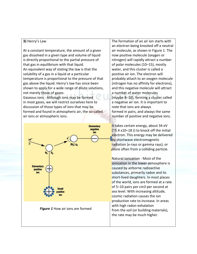#### **3)** Henry's Law

At a constant temperature, the amount of a given gas dissolved in a given type and volume of liquid is directly proportional to the partial pressure of that gas in equilibrium with that liquid. An equivalent way of stating the law is that the solubility of a gas in a liquid at a particular temperature is proportional to the pressure of that gas above the liquid. Henry's law has since been shown to apply for a wide range of dilute solutions, not merely those of gases.

Gaseous ions - Although ions may be formed in most gases, we will restrict ourselves here to discussion of those types of ions that may be formed and found in atmospheric air, the so-called air ions or atmospheric ions.



The formation of an air ion starts with an electron being knocked off a neutral air molecule, as shown in Figure 1. The now positive molecule (oxygen or nitrogen) will rapidly attract a number of polar molecules (10–15), mostly water, and this cluster is called a positive air ion. The electron will probably attach to an oxygen molecule (nitrogen has no affinity for electrons), and this negative molecule will attract a number of water molecules (maybe 8–10), forming a cluster called a negative air ion. It is important to note that ions are always formed in pairs, and always the same number of positive and negative ions.

It takes certain energy, about 34 eV  $($ ~5.4 x10–18 J) to knock off the initial electron. This energy may be delivered **Thy shortwave electromagnetic** radiation (x-rays or gamma rays), or more often from a colliding particle.

Natural ionization - Most of the ionization in the lower atmosphere is caused by airborne radioactive substances, primarily radon and its short-lived daughters. In most places of the world, ions are formed at a rate of 5–10 pairs per cm3 per second at sea level. With increasing altitude, cosmic radiation causes the ion production rate to increase. In areas with high radon exhalation from the soil (or building materials), the rate may be much higher.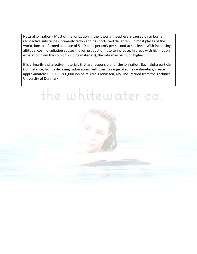Natural ionization - Most of the ionization in the lower atmosphere is caused by airborne radioactive substances, primarily radon and its short-lived daughters. In most places of the world, ions are formed at a rate of 5–10 pairs per cm3 per second at sea level. With increasing altitude, cosmic radiation causes the ion production rate to increase. In areas with high radon exhalation from the soil (or building materials), the rate may be much higher.

It is primarily alpha-active materials that are responsible for the ionization. Each alpha particle (for instance, from a decaying radon atom) will, over its range of some centimeters, create approximately 150,000–200,000 ion pairs. (Niels Jonassen, MS, DSc, retired from the Technical University of Denmark)

# the whitewater co.